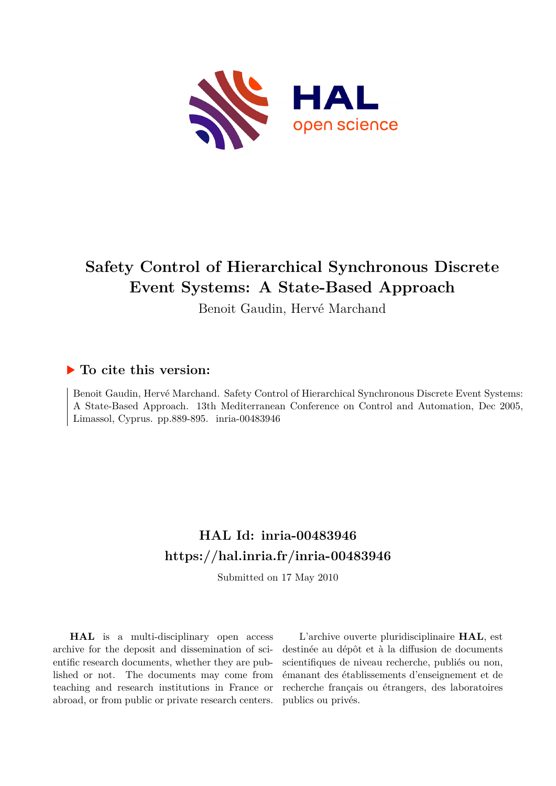

# **Safety Control of Hierarchical Synchronous Discrete Event Systems: A State-Based Approach**

Benoit Gaudin, Hervé Marchand

# **To cite this version:**

Benoit Gaudin, Hervé Marchand. Safety Control of Hierarchical Synchronous Discrete Event Systems: A State-Based Approach. 13th Mediterranean Conference on Control and Automation, Dec 2005, Limassol, Cyprus. pp.889-895. inria-00483946

# **HAL Id: inria-00483946 <https://hal.inria.fr/inria-00483946>**

Submitted on 17 May 2010

**HAL** is a multi-disciplinary open access archive for the deposit and dissemination of scientific research documents, whether they are published or not. The documents may come from teaching and research institutions in France or abroad, or from public or private research centers.

L'archive ouverte pluridisciplinaire **HAL**, est destinée au dépôt et à la diffusion de documents scientifiques de niveau recherche, publiés ou non, émanant des établissements d'enseignement et de recherche français ou étrangers, des laboratoires publics ou privés.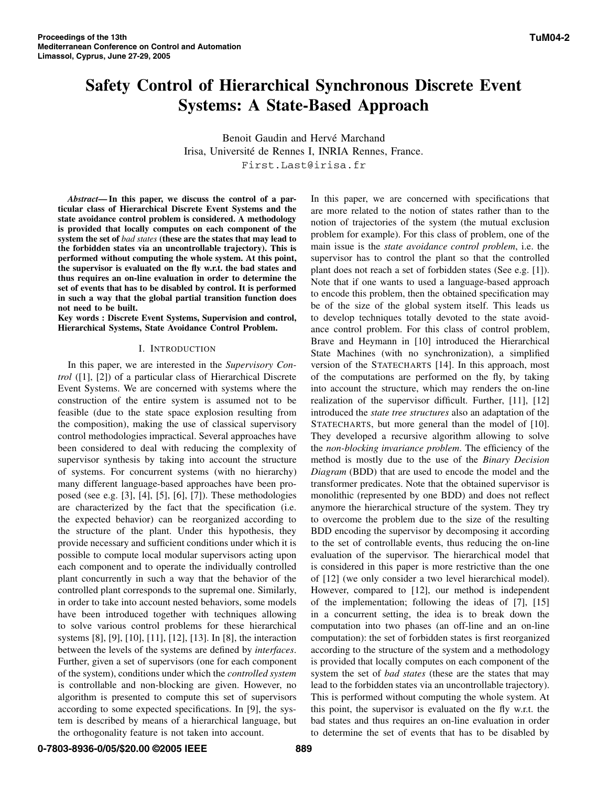# **Safety Control of Hierarchical Synchronous Discrete Event Systems: A State-Based Approach**

Benoit Gaudin and Hervé Marchand Irisa, Université de Rennes I, INRIA Rennes, France. First.Last@irisa.fr

*Abstract***— In this paper, we discuss the control of a particular class of Hierarchical Discrete Event Systems and the state avoidance control problem is considered. A methodology is provided that locally computes on each component of the system the set of** *bad states* **(these are the states that may lead to the forbidden states via an uncontrollable trajectory). This is performed without computing the whole system. At this point, the supervisor is evaluated on the fly w.r.t. the bad states and thus requires an on-line evaluation in order to determine the set of events that has to be disabled by control. It is performed in such a way that the global partial transition function does not need to be built.**

**Key words : Discrete Event Systems, Supervision and control, Hierarchical Systems, State Avoidance Control Problem.**

#### I. INTRODUCTION

In this paper, we are interested in the *Supervisory Control* ([1], [2]) of a particular class of Hierarchical Discrete Event Systems. We are concerned with systems where the construction of the entire system is assumed not to be feasible (due to the state space explosion resulting from the composition), making the use of classical supervisory control methodologies impractical. Several approaches have been considered to deal with reducing the complexity of supervisor synthesis by taking into account the structure of systems. For concurrent systems (with no hierarchy) many different language-based approaches have been proposed (see e.g. [3], [4], [5], [6], [7]). These methodologies are characterized by the fact that the specification (i.e. the expected behavior) can be reorganized according to the structure of the plant. Under this hypothesis, they provide necessary and sufficient conditions under which it is possible to compute local modular supervisors acting upon each component and to operate the individually controlled plant concurrently in such a way that the behavior of the controlled plant corresponds to the supremal one. Similarly, in order to take into account nested behaviors, some models have been introduced together with techniques allowing to solve various control problems for these hierarchical systems [8], [9], [10], [11], [12], [13]. In [8], the interaction between the levels of the systems are defined by *interfaces*. Further, given a set of supervisors (one for each component of the system), conditions under which the *controlled system* is controllable and non-blocking are given. However, no algorithm is presented to compute this set of supervisors according to some expected specifications. In [9], the system is described by means of a hierarchical language, but the orthogonality feature is not taken into account.

In this paper, we are concerned with specifications that are more related to the notion of states rather than to the notion of trajectories of the system (the mutual exclusion problem for example). For this class of problem, one of the main issue is the *state avoidance control problem*, i.e. the supervisor has to control the plant so that the controlled plant does not reach a set of forbidden states (See e.g. [1]). Note that if one wants to used a language-based approach to encode this problem, then the obtained specification may be of the size of the global system itself. This leads us to develop techniques totally devoted to the state avoidance control problem. For this class of control problem, Brave and Heymann in [10] introduced the Hierarchical State Machines (with no synchronization), a simplified version of the STATECHARTS [14]. In this approach, most of the computations are performed on the fly, by taking into account the structure, which may renders the on-line realization of the supervisor difficult. Further, [11], [12] introduced the *state tree structures* also an adaptation of the STATECHARTS, but more general than the model of [10]. They developed a recursive algorithm allowing to solve the *non-blocking invariance problem*. The efficiency of the method is mostly due to the use of the *Binary Decision Diagram* (BDD) that are used to encode the model and the transformer predicates. Note that the obtained supervisor is monolithic (represented by one BDD) and does not reflect anymore the hierarchical structure of the system. They try to overcome the problem due to the size of the resulting BDD encoding the supervisor by decomposing it according to the set of controllable events, thus reducing the on-line evaluation of the supervisor. The hierarchical model that is considered in this paper is more restrictive than the one of [12] (we only consider a two level hierarchical model). However, compared to [12], our method is independent of the implementation; following the ideas of [7], [15] in a concurrent setting, the idea is to break down the computation into two phases (an off-line and an on-line computation): the set of forbidden states is first reorganized according to the structure of the system and a methodology is provided that locally computes on each component of the system the set of *bad states* (these are the states that may lead to the forbidden states via an uncontrollable trajectory). This is performed without computing the whole system. At this point, the supervisor is evaluated on the fly w.r.t. the bad states and thus requires an on-line evaluation in order to determine the set of events that has to be disabled by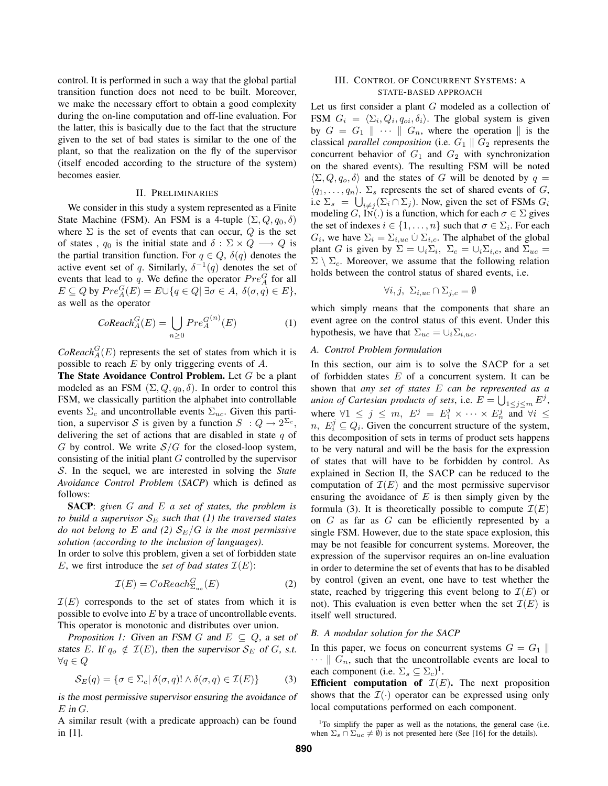control. It is performed in such a way that the global partial transition function does not need to be built. Moreover, we make the necessary effort to obtain a good complexity during the on-line computation and off-line evaluation. For the latter, this is basically due to the fact that the structure given to the set of bad states is similar to the one of the plant, so that the realization on the fly of the supervisor (itself encoded according to the structure of the system) becomes easier.

#### II. PRELIMINARIES

We consider in this study a system represented as a Finite State Machine (FSM). An FSM is a 4-tuple  $(\Sigma, Q, q_0, \delta)$ where  $\Sigma$  is the set of events that can occur,  $Q$  is the set of states,  $q_0$  is the initial state and  $\delta : \Sigma \times Q \longrightarrow Q$  is the partial transition function. For  $q \in Q$ ,  $\delta(q)$  denotes the active event set of q. Similarly,  $\delta^{-1}(q)$  denotes the set of events that lead to q. We define the operator  $Pre_{\mathcal{A}}^G$  for all  $E \subset O$  by  $Pre_{\mathcal{A}}^G(E) = E \cup \{g \in O | \exists g \in \mathcal{A} \mid \delta(g, g) \in E \}$  $E \subseteq Q$  by  $Pre_{A}^{G}(E) = E \cup \{q \in Q | \exists \sigma \in A, \ \delta(\sigma, q) \in E\},$ <br>as well as the operator as well as the operator

$$
Coker_A^G(E) = \bigcup_{n \ge 0} Pre_A^{G(n)}(E)
$$
 (1)

 $CoReach_A^G(E)$  represents the set of states from which it is<br>possible to reach E by only triggering events of A possible to reach  $E$  by only triggering events of  $A$ .

**The State Avoidance Control Problem.** Let G be a plant modeled as an FSM  $(\Sigma, Q, q_0, \delta)$ . In order to control this FSM, we classically partition the alphabet into controllable events  $\Sigma_c$  and uncontrollable events  $\Sigma_{uc}$ . Given this partition, a supervisor S is given by a function  $S: Q \to 2^{\Sigma_c}$ , delivering the set of actions that are disabled in state  $q$  of G by control. We write  $S/G$  for the closed-loop system, consisting of the initial plant  $G$  controlled by the supervisor S. In the sequel, we are interested in solving the *State Avoidance Control Problem* (*SACP*) which is defined as follows:

**SACP**: *given* G *and* E *a set of states, the problem is to build a supervisor*  $S_E$  *such that (1) the traversed states do not belong to* E and (2)  $S_E/G$  *is the most permissive solution (according to the inclusion of languages)*.

In order to solve this problem, given a set of forbidden state E, we first introduce the *set of bad states*  $\mathcal{I}(E)$ :

$$
\mathcal{I}(E) = CoReach^G_{\Sigma_{uc}}(E) \tag{2}
$$

 $\mathcal{I}(E)$  corresponds to the set of states from which it is possible to evolve into  $E$  by a trace of uncontrollable events. This operator is monotonic and distributes over union.

*Proposition 1:* Given an FSM G and  $E \subseteq Q$ , a set of states E. If  $q_o \notin \mathcal{I}(E)$ , then the supervisor  $\mathcal{S}_E$  of G, s.t.  $\forall q \in Q$ 

$$
\mathcal{S}_E(q) = \{ \sigma \in \Sigma_c | \delta(\sigma, q)! \wedge \delta(\sigma, q) \in \mathcal{I}(E) \}
$$
 (3)

is the most permissive supervisor ensuring the avoidance of  $E$  in  $G$ .

A similar result (with a predicate approach) can be found in [1].

# III. CONTROL OF CONCURRENT SYSTEMS: A STATE-BASED APPROACH

Let us first consider a plant G modeled as a collection of FSM  $G_i = \langle \Sigma_i, Q_i, q_{oi}, \delta_i \rangle$ . The global system is given by  $G = G_1 \parallel \cdots \parallel G_n$ , where the operation  $\parallel$  is the classical *parallel composition* (i.e.  $G_2 \parallel G_2$  represents the classical *parallel composition* (i.e.  $G_1 \parallel G_2$  represents the concurrent behavior of  $G_2$  and  $G_2$  with synchronization concurrent behavior of  $G_1$  and  $G_2$  with synchronization on the shared events). The resulting FSM will be noted  $\langle \Sigma, Q, q_o, \delta \rangle$  and the states of G will be denoted by  $q =$  $\langle q_1,\ldots,q_n\rangle$ .  $\Sigma_s$  represents the set of shared events of G, i.e  $\Sigma_s = \bigcup_{i \neq j} (\Sigma_i \cap \Sigma_j)$ . Now, given the set of FSMs  $G_i$ <br>modeling  $G$ . IN() is a function, which for each  $\sigma \in \Sigma$  gives modeling G, IN(.) is a function, which for each  $\sigma \in \Sigma$  gives the set of indexes  $i \in \{1, \ldots, n\}$  such that  $\sigma \in \Sigma_i$ . For each  $G_i$ , we have  $\Sigma_i = \Sigma_{i,uc} \cup \Sigma_{i,c}$ . The alphabet of the global plant  $G$  is given by  $\Sigma = \sqcup \Sigma$ .  $\Sigma = \sqcup \Sigma$ , and  $\Sigma =$ plant G is given by  $\Sigma = \cup_i \Sigma_i$ ,  $\Sigma_c = \cup_i \Sigma_{i,c}$ , and  $\Sigma_{uc}$  $\Sigma \setminus \Sigma_c$ . Moreover, we assume that the following relation holds between the control status of shared events, i.e.

$$
\forall i, j, \ \Sigma_{i,uc} \cap \Sigma_{j,c} = \emptyset
$$

which simply means that the components that share an event agree on the control status of this event. Under this hypothesis, we have that  $\Sigma_{uc} = \bigcup_i \Sigma_{i,uc}$ .

# *A. Control Problem formulation*

In this section, our aim is to solve the SACP for a set of forbidden states  $E$  of a concurrent system. It can be shown that *any set of states* E *can be represented as a union of Cartesian products of sets, i.e.*  $E = \bigcup_{1 \leq j \leq m} E^j$ , where  $\forall 1 \leq j \leq m$ ,  $E^j = E_1^j \times \cdots \times E_n^j$  and  $\forall i \leq$  $n, E_i^j \subseteq Q_i$ . Given the concurrent structure of the system,<br>this decomposition of sets in terms of product sets happens this decomposition of sets in terms of product sets happens to be very natural and will be the basis for the expression of states that will have to be forbidden by control. As explained in Section II, the SACP can be reduced to the computation of  $\mathcal{I}(E)$  and the most permissive supervisor ensuring the avoidance of  $E$  is then simply given by the formula (3). It is theoretically possible to compute  $\mathcal{I}(E)$ on G as far as G can be efficiently represented by a single FSM. However, due to the state space explosion, this may be not feasible for concurrent systems. Moreover, the expression of the supervisor requires an on-line evaluation in order to determine the set of events that has to be disabled by control (given an event, one have to test whether the state, reached by triggering this event belong to  $\mathcal{I}(E)$  or not). This evaluation is even better when the set  $\mathcal{I}(E)$  is itself well structured.

#### *B. A modular solution for the SACP*

In this paper, we focus on concurrent systems  $G = G_1 ||$ <br>...  $|| G$  such that the uncontrollable events are local to  $\cdots \parallel G_n$ , such that the uncontrollable events are local to each component (i.e.  $\Sigma \subset \Sigma$ )<sup>1</sup> each component (i.e.  $\Sigma_s \subseteq \Sigma_c)^1$ .

**Efficient computation of**  $\mathcal{I}(E)$ **. The next proposition** shows that the  $\mathcal{I}(\cdot)$  operator can be expressed using only local computations performed on each component.

<sup>1</sup>To simplify the paper as well as the notations, the general case (i.e. when  $\Sigma_s \cap \Sigma_{uc} \neq \emptyset$ ) is not presented here (See [16] for the details).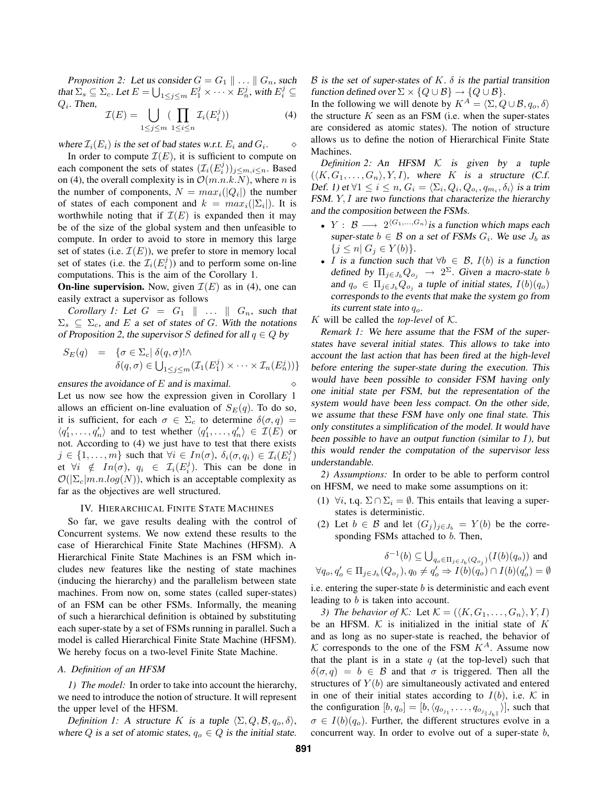*Proposition 2:* Let us consider  $G = G_1 \parallel ... \parallel G_n$ , such at  $\sum_{\sigma} \subset \sum_{\sigma}$  Let  $F = \square \parallel F^j \times ... \times F^j$  with  $F^j \subset$  $\frac{\parallel\ \cdots\ \parallel}{\parallel\ \cdot\ \ \vdots}$ that  $\Sigma_s \subseteq \Sigma_c$ . Let  $E = \bigcup_{1 \le j \le m} E_1^j \times \cdots \times E_n^j$ , with  $E_i^j \subseteq$  $Q_i$ . Then,

$$
\mathcal{I}(E) = \bigcup_{1 \le j \le m} \left( \prod_{1 \le i \le n} \mathcal{I}_i(E_i^j) \right) \tag{4}
$$

where  $\mathcal{I}_i(E_i)$  is the set of bad states w.r.t.  $E_i$  and  $G_i$ .

In order to compute  $\mathcal{I}(E)$ , it is sufficient to compute on each component the sets of states  $(\mathcal{I}_i(E_i^j))_{j \leq m, i \leq n}$ . Based<br>on (4) the overall complexity is in  $O(m, n, k, N)$  where n is on (4), the overall complexity is in  $\mathcal{O}(m.n.k.N)$ , where *n* is the number of components,  $N = max_i(|Q_i|)$  the number of states of each component and  $k = max_i(|\Sigma_i|)$ . It is worthwhile noting that if  $\mathcal{I}(E)$  is expanded then it may be of the size of the global system and then unfeasible to compute. In order to avoid to store in memory this large set of states (i.e.  $\mathcal{I}(E)$ ), we prefer to store in memory local set of states (i.e. the  $\mathcal{I}_i(E_i^j)$ ) and to perform some on-line computations. This is the aim of the Corollary 1 computations. This is the aim of the Corollary 1.

**On-line supervision.** Now, given  $\mathcal{I}(E)$  as in (4), one can easily extract a supervisor as follows

*Corollary 1:* Let  $G = G_1 \parallel \dots \parallel G_n$ , such that  $G \Sigma$  and  $E$  a set of states of  $G$ . With the notations  $\begin{array}{ccc} \parallel & \cdots & \parallel \ \mid & \land & \cap C & W \end{array}$  $\Sigma_s \subseteq \Sigma_c$ , and E a set of states of G. With the notations of Proposition 2, the supervisor S defined for all  $a \in \Omega$  by of Proposition 2, the supervisor S defined for all  $q \in Q$  by

$$
S_E(q) = \{ \sigma \in \Sigma_c | \delta(q, \sigma)! \wedge \delta(q, \sigma) \in \bigcup_{1 \le j \le m} (\mathcal{I}_1(E_1^j) \times \cdots \times \mathcal{I}_n(E_n^j)) \}
$$

ensures the avoidance of E and is maximal.  $\Diamond$ 

Let us now see how the expression given in Corollary 1 allows an efficient on-line evaluation of  $S_E(q)$ . To do so, it is sufficient, for each  $\sigma \in \Sigma_c$  to determine  $\delta(\sigma, q)$  =  $\langle q'_1, \ldots, q'_n \rangle$  and to test whether  $\langle q'_1, \ldots, q'_n \rangle \in \mathcal{I}(E)$  or<br>not. According to (4) we just have to test that there exists not. According to (4) we just have to test that there exists  $j \in \{1, \ldots, m\}$  such that  $\forall i \in In(\sigma), \delta_i(\sigma, q_i) \in \mathcal{I}_i(E_i^j)$ <br>et  $\forall i \notin In(\sigma), \sigma_i \in \mathcal{I}_i(E^j)$ . This can be done in et  $\forall i \notin In(\sigma), q_i \in \mathcal{I}_i(E_i^j)$ . This can be done in  $\mathcal{O}(|\Sigma| \le m n \log(N))$  which is an acceptable complexity as  $\mathcal{O}(|\Sigma_c|m.n.log(N))$ , which is an acceptable complexity as far as the objectives are well structured.

#### IV. HIERARCHICAL FINITE STATE MACHINES

So far, we gave results dealing with the control of Concurrent systems. We now extend these results to the case of Hierarchical Finite State Machines (HFSM). A Hierarchical Finite State Machines is an FSM which includes new features like the nesting of state machines (inducing the hierarchy) and the parallelism between state machines. From now on, some states (called super-states) of an FSM can be other FSMs. Informally, the meaning of such a hierarchical definition is obtained by substituting each super-state by a set of FSMs running in parallel. Such a model is called Hierarchical Finite State Machine (HFSM). We hereby focus on a two-level Finite State Machine.

### *A. Definition of an HFSM*

*1) The model:* In order to take into account the hierarchy, we need to introduce the notion of structure. It will represent the upper level of the HFSM.

*Definition 1:* A structure K is a tuple  $\langle \Sigma, Q, \mathcal{B}, q_o, \delta \rangle$ , where Q is a set of atomic states,  $q_o \in Q$  is the initial state.

B is the set of super-states of K.  $\delta$  is the partial transition function defined over  $\Sigma \times \{Q \cup B\} \rightarrow \{Q \cup B\}.$ 

In the following we will denote by  $K^A = \langle \Sigma, Q \cup \mathcal{B}, q_o, \delta \rangle$ the structure  $K$  seen as an FSM (i.e. when the super-states are considered as atomic states). The notion of structure allows us to define the notion of Hierarchical Finite State Machines.

*Definition 2:* An HFSM K is given by <sup>a</sup> tuple  $(\langle K, G_1, \ldots, G_n \rangle, Y, I)$ , where K is a structure (C.f. Def. 1) et  $\forall 1 \leq i \leq n$ ,  $G_i = \langle \Sigma_i, Q_i, Q_{o_i}, q_{m_i}, \delta_i \rangle$  is a trim FSM. Y, I are two functions that characterize the hierarchy and the composition between the FSMs.

- $Y : \mathcal{B} \longrightarrow 2^{\langle G_1, \ldots, G_n \rangle}$  is a function which maps each super-state  $h \in \mathcal{B}$  on a set of ESMs  $G$ . We use L as super-state  $b \in \mathcal{B}$  on a set of FSMs  $G_i$ . We use  $J_b$  as  ${j \leq n | G_i \in Y(b)}.$
- I is a function such that  $\forall b \in \mathcal{B}, I(b)$  is a function defined by  $\Pi_{j\in J_b}Q_{o_j} \to 2^{\Sigma}$ . Given a macro-state b and  $q_o \in \Pi_{j \in J_b} Q_{o_j}$  a tuple of initial states,  $I(b)(q_o)$ corresponds to the events that make the system go from its current state into  $q_o$ .

K will be called the *top-level* of <sup>K</sup>.

*Remark 1:* We here assume that the FSM of the superstates have several initial states. This allows to take into account the last action that has been fired at the high-level before entering the super-state during the execution. This would have been possible to consider FSM having only one initial state per FSM, but the representation of the system would have been less compact. On the other side, we assume that these FSM have only one final state. This only constitutes <sup>a</sup> simplification of the model. It would have been possible to have an output function (similar to  $I$ ), but this would render the computation of the supervisor less understandable.

*2) Assumptions:* In order to be able to perform control on HFSM, we need to make some assumptions on it:

- (1)  $\forall i$ , t.q.  $\Sigma \cap \Sigma_i = \emptyset$ . This entails that leaving a superstates is deterministic.
- (2) Let  $b \in \mathcal{B}$  and let  $(G_j)_{j \in J_b} = Y(b)$  be the corresponding FSMs attached to b. Then,

$$
\delta^{-1}(b) \subseteq \bigcup_{q_o \in \Pi_{j \in J_b}(Q_{o_j})} (I(b)(q_o)) \text{ and}
$$
  

$$
\forall q_o, q'_o \in \Pi_{j \in J_b}(Q_{o_j}), q_0 \neq q'_o \Rightarrow I(b)(q_o) \cap I(b)(q'_o) = \emptyset
$$

i.e. entering the super-state  $b$  is deterministic and each event leading to b is taken into account.

*3) The behavior of* K: Let  $K = (\langle K, G_1, \ldots, G_n \rangle, Y, I)$ be an HFSM.  $K$  is initialized in the initial state of  $K$ and as long as no super-state is reached, the behavior of K corresponds to the one of the FSM  $K^A$ . Assume now that the plant is in a state  $q$  (at the top-level) such that  $\delta(\sigma, q) = b \in \mathcal{B}$  and that  $\sigma$  is triggered. Then all the structures of  $Y(b)$  are simultaneously activated and entered in one of their initial states according to  $I(b)$ , i.e. K in the configuration  $[b, q_o] = [b, \langle q_{o_{j_1}}, \ldots, q_{o_{j_{\vert J_{b_{\vert}}\vert}}}\rangle]$ , such that  $\sigma \in I(b)(q_0)$ . Further, the different structures evolve in a concurrent way. In order to evolve out of a super-state b,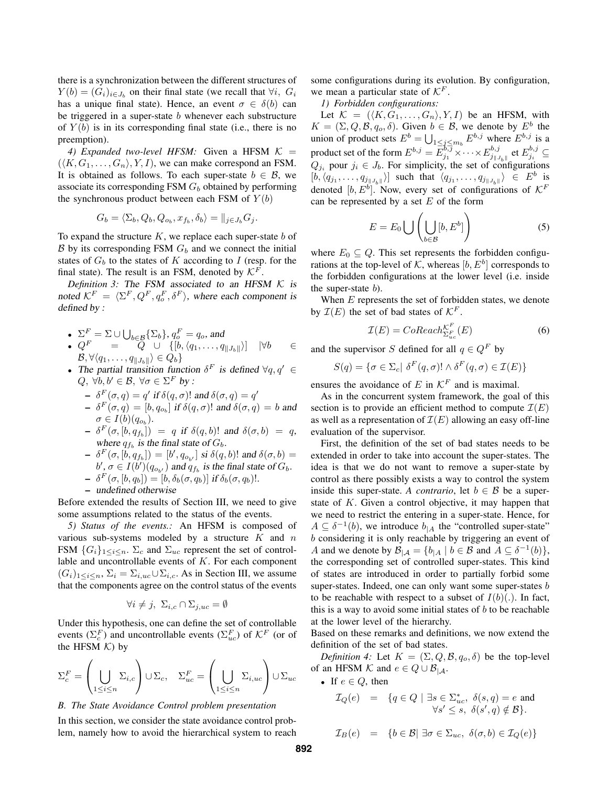there is a synchronization between the different structures of  $Y(b)=(G_i)_{i\in J_b}$  on their final state (we recall that  $\forall i, G_i$ has a unique final state). Hence, an event  $\sigma \in \delta(b)$  can be triggered in a super-state  $b$  whenever each substructure of  $Y(b)$  is in its corresponding final state (i.e., there is no preemption).

4) Expanded two-level HFSM: Given a HFSM  $K =$  $(\langle K, G_1, \ldots, G_n \rangle, Y, I)$ , we can make correspond an FSM. It is obtained as follows. To each super-state  $b \in \mathcal{B}$ , we associate its corresponding FSM  $G_b$  obtained by performing the synchronous product between each FSM of  $Y(b)$ 

$$
G_b = \langle \Sigma_b, Q_b, Q_{o_b}, x_{f_b}, \delta_b \rangle = ||_{j \in J_b} G_j.
$$

To expand the structure  $K$ , we replace each super-state  $b$  of  $\beta$  by its corresponding FSM  $G_b$  and we connect the initial states of  $G_b$  to the states of K according to I (resp. for the final state). The result is an FSM, denoted by  $K^F$ .

*Definition 3:* The FSM associated to an HFSM  $K$  is noted  $\mathcal{K}^F = \langle \Sigma^F, Q^F, q_o^F, \delta^F \rangle$ , where each component is defined by : defined by :

• 
$$
\Sigma^F = \Sigma \cup \bigcup_{b \in \mathcal{B}} \{\Sigma_b\}, q_o^F = q_o
$$
, and  
\n•  $\Omega^F = \Omega_{\text{max}} \{\Sigma_b\}, q_o^F = q_o$ 

- $Q^F = Q \cup \{ [b, \langle q_1, \ldots, q_{\|J_b\|} \rangle] \mid \forall b \in \mathbb{R} \}$
- $B, \nabla \langle q_1, \ldots, q_{\parallel} J_b \parallel \rangle \in Q_b$ <br>
The partial transition function δ<sup>F</sup> is defined  $\forall q, q' \in$ <br>  $O, \forall b, b' \in \mathcal{B}, \forall \sigma \in \Sigma^F$  by  $Q, \forall b, b' \in \mathcal{B}, \forall \sigma \in \Sigma^F$  by:
	- $-\delta^F(\sigma, q) = q'$  if  $\delta(q, \sigma)!$  and  $\delta(\sigma, q) = q'$
	- $-\delta^F(\sigma, q)=[b, q_{\rho b}]$  if  $\delta(q, \sigma)!$  and  $\delta(\sigma, q) = b$  and  $\sigma \in I(b)(q_{o_b}).$ <br> $\delta^F(\sigma$  [b as])
	- $\sigma^F(\sigma, [b, q_{f_b}]) = q$  if  $\delta(q, b)!$  and  $\delta(\sigma, b) = q$ ,<br>where  $a_{f}$  is the final state of  $G_b$ . where  $q_{f_b}$  is the final state of  $G_b$ .<br>  $\delta^F(\sigma, [b, a, b]) = [b', a, b']$  is  $\delta(a, b)$
	- $\delta^F(\sigma,[b,q_{f_b}]) = [b', q_{o_{b'}}]$  si  $\delta(q, b)!$  and  $\delta(\sigma, b) =$ <br> $b', \sigma \in I(b')$  (a) and  $a_{b}$  is the final state of  $G$ .  $b', \sigma \in I(b')(q_{o_{b'}})$  and  $q_{f_b}$  is the final state of  $G_b$ .<br>  $\delta^F(\sigma [b, a_{b}]) = [b, \delta_b(\sigma, a_{b})]$  if  $\delta_b(\sigma, a_{b})$  $-\delta^F(\sigma, [b, q_b]) = [b, \delta_b(\sigma, q_b)]$  if  $\delta_b(\sigma, q_b)$ !.
	- **–** undefined otherwise

Before extended the results of Section III, we need to give some assumptions related to the status of the events.

*5) Status of the events.:* An HFSM is composed of various sub-systems modeled by a structure  $K$  and  $n$ FSM  $\{G_i\}_{1 \leq i \leq n}$ .  $\Sigma_c$  and  $\Sigma_{uc}$  represent the set of controllable and uncontrollable events of  $K$ . For each component  $(G_i)_{1 \leq i \leq n}, \Sigma_i = \Sigma_{i,uc} \cup \Sigma_{i,c}$ . As in Section III, we assume that the components agree on the control status of the events

$$
\forall i \neq j, \ \Sigma_{i,c} \cap \Sigma_{j,uc} = \emptyset
$$

Under this hypothesis, one can define the set of controllable events  $(\Sigma_c^F)$  and uncontrollable events  $(\Sigma_{uc}^F)$  of  $\mathcal{K}^F$  (or of the HFSM  $K$ ) by

$$
\Sigma_c^F = \left(\bigcup_{1 \le i \le n} \Sigma_{i,c}\right) \cup \Sigma_c, \quad \Sigma_{uc}^F = \left(\bigcup_{1 \le i \le n} \Sigma_{i,uc}\right) \cup \Sigma_{uc}
$$

# *B. The State Avoidance Control problem presentation*

In this section, we consider the state avoidance control problem, namely how to avoid the hierarchical system to reach some configurations during its evolution. By configuration, we mean a particular state of  $K^F$ .

*1) Forbidden configurations:*

Let  $\mathcal{K} = (\langle K, G_1, \dots, G_n \rangle, Y, I)$  be an HFSM, with  $K = (\Sigma, Q, \mathcal{B}, q_o, \delta)$ . Given  $b \in \mathcal{B}$ , we denote by  $E^b$  the  $K = (\Sigma, Q, \mathcal{B}, q_o, \delta)$ . Given  $b \in \mathcal{B}$ , we denote by  $E^b$  the union of product sets  $E^b - 11$ union of product sets  $E^b = \bigcup_{1 \le j \le m_b} E^{b,j}$  where  $E^{b,j}$  is a<br>number of the farm  $E^{b,j} = E^{b,j}$ product set of the form  $E^{b,j} = \overline{E}_{j_1}^{b,j} \times \cdots \times E_{j_{|J|J|}}^{b,j}$  et  $E_{j_1}^{b,j} \subseteq$ <br>Q pour  $j \in I$ . For simplicity, the set of configurations  $Q_{j_i}$  pour  $j_i \in J_b$ . For simplicity, the set of configurations  $[b, \langle q_{j_1}, \ldots, q_{j_{\|J_b\|}} \rangle]$  such that  $\langle q_{j_1}, \ldots, q_{j_{\|J_b\|}} \rangle \in E^b$  is<br>denoted by  $E^b$  Now every set of configurations of  $E^F$ denoted  $[b, E^b]$ . Now, every set of configurations of  $\mathcal{K}^F$ can be represented by a set  $E$  of the form

$$
E = E_0 \bigcup \left( \bigcup_{b \in \mathcal{B}} [b, E^b] \right) \tag{5}
$$

where  $E_0 \subseteq Q$ . This set represents the forbidden configurations at the top-level of K, whereas  $[b, E^b]$  corresponds to the forbidden configurations at the lower level (i.e. inside the super-state  $b$ ).

When E represents the set of forbidden states, we denote by  $\mathcal{I}(E)$  the set of bad states of  $\mathcal{K}^F$ .

$$
\mathcal{I}(E) = CoReach_{\Sigma_{uc}}^{\mathcal{K}^F}(E)
$$
 (6)

and the supervisor S defined for all  $q \in Q^F$  by

$$
S(q) = \{ \sigma \in \Sigma_c | \delta^F(q, \sigma) | \land \delta^F(q, \sigma) \in \mathcal{I}(E) \}
$$

ensures the avoidance of E in  $K^F$  and is maximal.<br>As in the concurrent system framework, the soal

As in the concurrent system framework, the goal of this section is to provide an efficient method to compute  $\mathcal{I}(E)$ as well as a representation of  $\mathcal{I}(E)$  allowing an easy off-line evaluation of the supervisor.

First, the definition of the set of bad states needs to be extended in order to take into account the super-states. The idea is that we do not want to remove a super-state by control as there possibly exists a way to control the system inside this super-state. *A contrario*, let  $b \in \mathcal{B}$  be a superstate of K. Given a control objective, it may happen that we need to restrict the entering in a super-state. Hence, for  $A \subseteq \delta^{-1}(b)$ , we introduce  $b_{\mid A}$  the "controlled super-state" b considering it is only reachable by triggering an event of A and we denote by  $\mathcal{B}_{|\mathcal{A}} = \{b_{|\mathcal{A}} \mid b \in \mathcal{B} \text{ and } A \subseteq \delta^{-1}(b)\},\$ the corresponding set of controlled super-states. This kind of states are introduced in order to partially forbid some super-states. Indeed, one can only want some super-states b to be reachable with respect to a subset of  $I(b)(.)$ . In fact, this is a way to avoid some initial states of  $b$  to be reachable at the lower level of the hierarchy.

Based on these remarks and definitions, we now extend the definition of the set of bad states.

*Definition 4:* Let  $K = (\Sigma, Q, \mathcal{B}, q_0, \delta)$  be the top-level of an HFSM K and  $e \in Q \cup \mathcal{B}_{|\mathcal{A}|}$ .

• If  $e \in Q$ , then  $\mathcal{I}_Q(e) = \{q \in Q \mid \exists s \in \sum_{u}^* \delta(s,q) = e \text{ and }$ <br> $\forall s' < e \delta(s' | g) \notin \mathcal{B}\}$  $\forall s' \leq s, \ \delta(s', q) \notin \mathcal{B} \}.$ 

$$
\mathcal{I}_B(e) = \{b \in \mathcal{B} \mid \exists \sigma \in \Sigma_{uc}, \ \delta(\sigma, b) \in \mathcal{I}_Q(e)\}
$$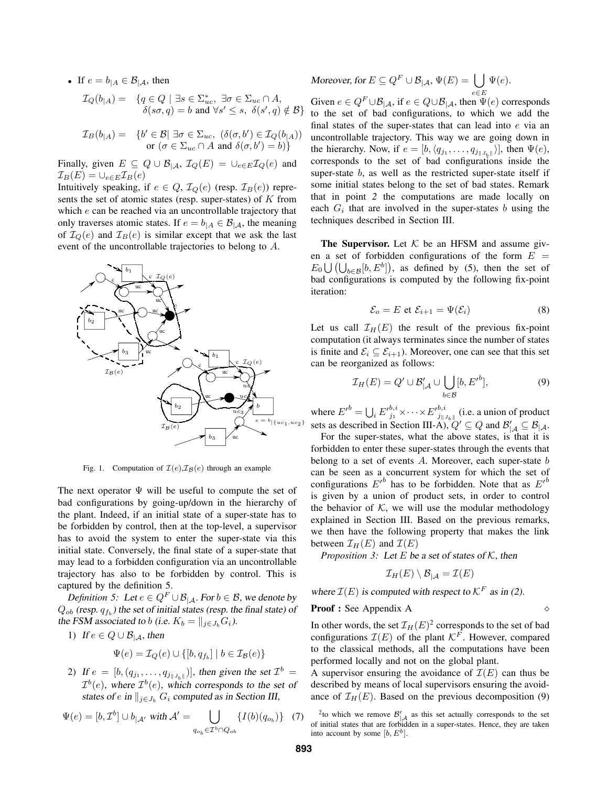• If  $e = b_{\mid A} \in \mathcal{B}_{\mid \mathcal{A}}$ , then

$$
\mathcal{I}_Q(b_{|A}) = \{ q \in Q \mid \exists s \in \Sigma_{uc}^*, \exists \sigma \in \Sigma_{uc} \cap A, \\ \delta(s\sigma, q) = b \text{ and } \forall s' \le s, \ \delta(s', q) \notin \mathcal{B} \}
$$

$$
\mathcal{I}_B(b_{|A}) = \{b' \in \mathcal{B} | \exists \sigma \in \Sigma_{uc}, (\delta(\sigma, b') \in \mathcal{I}_Q(b_{|A}))
$$
  
or  $(\sigma \in \Sigma_{uc} \cap A \text{ and } \delta(\sigma, b') = b)\}$ 

Finally, given  $E \subseteq Q \cup \mathcal{B}_{|\mathcal{A}}, \mathcal{I}_{Q}(E) = \cup_{e \in E} \mathcal{I}_{Q}(e)$  and  $\mathcal{I}_B(E) = \bigcup_{e \in E} \mathcal{I}_B(e)$ 

Intuitively speaking, if  $e \in Q$ ,  $\mathcal{I}_Q(e)$  (resp.  $\mathcal{I}_B(e)$ ) represents the set of atomic states (resp. super-states) of  $K$  from which  $e$  can be reached via an uncontrollable trajectory that only traverses atomic states. If  $e = b_{|A} \in \mathcal{B}_{|A}$ , the meaning of  $\mathcal{I}_Q(e)$  and  $\mathcal{I}_B(e)$  is similar except that we ask the last event of the uncontrollable trajectories to belong to A.



Fig. 1. Computation of  $\mathcal{I}(e), \mathcal{I}_{\mathcal{B}}(e)$  through an example

The next operator  $\Psi$  will be useful to compute the set of bad configurations by going-up/down in the hierarchy of the plant. Indeed, if an initial state of a super-state has to be forbidden by control, then at the top-level, a supervisor has to avoid the system to enter the super-state via this initial state. Conversely, the final state of a super-state that may lead to a forbidden configuration via an uncontrollable trajectory has also to be forbidden by control. This is captured by the definition 5.

*Definition 5:* Let  $e \in Q^F \cup \mathcal{B}_{|\mathcal{A}|}$ . For  $b \in \mathcal{B}$ , we denote by  $Q_{ob}$  (resp.  $q_{fb}$ ) the set of initial states (resp. the final state) of the FSM associated to b (i.e.  $K_b = ||_{j \in J_b} G_i$ ).

1) If 
$$
e \in Q \cup \mathcal{B}_{|\mathcal{A}}
$$
, then

$$
\Psi(e) = \mathcal{I}_Q(e) \cup \{ [b, q_{f_b}] \mid b \in \mathcal{I}_B(e) \}
$$

2) If  $e = [b, (q_{j_1}, \ldots, q_{j_{\vert J_b \vert}})]$ , then given the set  $\mathcal{I}^b = \tau^b(\epsilon)$ , where  $\tau^b(\epsilon)$  which get agreements to the set of  $\mathcal{I}^b(e)$ , where  $\mathcal{I}^b(e)$ , which corresponds to the set of states of e in  $\|_{j \in J_b} G_i$  computed as in Section III,

$$
\Psi(e) = [b, \mathcal{I}^b] \cup b_{|\mathcal{A}'} \text{ with } \mathcal{A}' = \bigcup_{q_{o_b} \in \mathcal{I}^b \cap Q_{ob}} \{ I(b)(q_{o_b}) \} \quad (7)
$$

Moreover, for  $E \subseteq Q^F \cup \mathcal{B}_{|\mathcal{A}}, \Psi(E) = \bigcup_{e \in E} \Psi(e)$ .

Given  $e \in Q^F \cup \mathcal{B}_{|\mathcal{A}},$  if  $e \in Q \cup \mathcal{B}_{|\mathcal{A}},$  then  $\Psi(e)$  corresponds to the set of had configurations to which we add the to the set of bad configurations, to which we add the final states of the super-states that can lead into  $e$  via an uncontrollable trajectory. This way we are going down in the hierarchy. Now, if  $e = [b, \langle q_{j_1}, \ldots, q_{j_{\|J_{b\|}}}\rangle]$ , then  $\Psi(e)$ ,<br>corresponds to the set of had configurations inside the corresponds to the set of bad configurations inside the super-state  $b$ , as well as the restricted super-state itself if some initial states belong to the set of bad states. Remark that in point *2* the computations are made locally on each  $G_i$  that are involved in the super-states b using the techniques described in Section III.

**The Supervisor.** Let  $K$  be an HFSM and assume given a set of forbidden configurations of the form  $E =$  $E_0 \cup (\bigcup_{b \in \mathcal{B}} [0, E^c])$ , as defined by (5), then the set of bad configurations is computed by the following fix-point  $\bigcup \left( \bigcup_{b \in \mathcal{B}} [b, E^b] \right)$ , as defined by (5), then the set of configurations is computed by the following fix-point iteration:

$$
\mathcal{E}_o = E \text{ et } \mathcal{E}_{i+1} = \Psi(\mathcal{E}_i)
$$
\n(8)

Let us call  $\mathcal{I}_H(E)$  the result of the previous fix-point computation (it always terminates since the number of states is finite and  $\mathcal{E}_i \subseteq \mathcal{E}_{i+1}$ ). Moreover, one can see that this set can be reorganized as follows:

$$
\mathcal{I}_H(E) = Q' \cup \mathcal{B}'_{|\mathcal{A}} \cup \bigcup_{b \in \mathcal{B}} [b, E'^b],\tag{9}
$$

where  $E'^{b} = \bigcup_{i} E'^{b,i} \times \cdots \times E'^{b,i}$  (i.e. a union of product sets as described in Section III-A),  $Q' \subseteq Q$  and  $\mathcal{B}'_{|A} \subseteq \mathcal{B}_{|A}$ .<br>For the super-states, what the above states, is that it is

For the super-states, what the above states, is that it is forbidden to enter these super-states through the events that belong to a set of events  $A$ . Moreover, each super-state  $b$ can be seen as a concurrent system for which the set of configurations  $E^{b}$  has to be forbidden. Note that as  $E^{b}$ is given by a union of product sets, in order to control the behavior of  $K$ , we will use the modular methodology explained in Section III. Based on the previous remarks, we then have the following property that makes the link between  $\mathcal{I}_H(E)$  and  $\mathcal{I}(E)$ 

*Proposition 3:* Let  $E$  be a set of states of  $K$ , then

$$
\mathcal{I}_H(E) \setminus \mathcal{B}_{|\mathcal{A}} = \mathcal{I}(E)
$$

where  $\mathcal{I}(E)$  is computed with respect to  $\mathcal{K}^F$  as in (2).

**Proof**: See Appendix A 
$$
\diamond
$$

In other words, the set  $\mathcal{I}_H(E)^2$  corresponds to the set of bad configurations  $\mathcal{I}(E)$  of the plant  $\mathcal{K}^F$ . However, compared to the classical methods, all the computations have been performed locally and not on the global plant.

A supervisor ensuring the avoidance of  $\mathcal{I}(E)$  can thus be described by means of local supervisors ensuring the avoidance of  $\mathcal{I}_H(E)$ . Based on the previous decomposition (9)

<sup>&</sup>lt;sup>2</sup>to which we remove  $\mathcal{B}'_{|A|}$  as this set actually corresponds to the set of initial states that are forbidden in a super-states. Hence, they are taken into account by some  $[b, E^b]$ .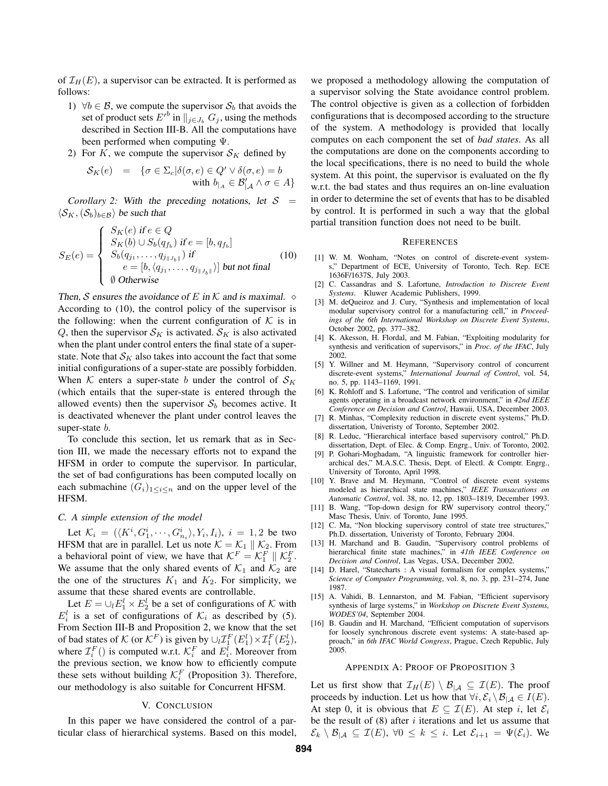of  $\mathcal{I}_H(E)$ , a supervisor can be extracted. It is performed as follows:

- 1)  $\forall b \in \mathcal{B}$ , we compute the supervisor  $\mathcal{S}_b$  that avoids the set of product sets  $E^{j}$  in  $\|_{j\in J_b} G_j$ , using the methods described in Section IILB, All the computations have described in Section III-B. All the computations have been performed when computing Ψ.
- 2) For K, we compute the supervisor  $S_K$  defined by

$$
S_K(e) = \{ \sigma \in \Sigma_c | \delta(\sigma, e) \in Q' \lor \delta(\sigma, e) = b \}
$$
  
with  $b_{|_A} \in \mathcal{B}'_{|A} \land \sigma \in A \}$ 

*Corollary 2:* With the preceding notations, let  $S =$  $\langle S_K, (S_b)_{b \in \mathcal{B}} \rangle$  be such that

$$
S_E(e) = \begin{cases} S_K(e) \text{ if } e \in Q \\ S_K(b) \cup S_b(q_{f_b}) \text{ if } e = [b, q_{f_b}] \\ S_b(q_{j_1}, \dots, q_{j_{\parallel}j_b \parallel}) \text{ if } \\ e = [b, \langle q_{j_1}, \dots, q_{j_{\parallel}j_b \parallel} \rangle] \text{ but not final} \\ \emptyset \text{ Otherwise} \end{cases} \tag{10}
$$

Then, S ensures the avoidance of E in K and is maximal.  $\diamond$ According to (10), the control policy of the supervisor is the following: when the current configuration of  $K$  is in Q, then the supervisor  $S_K$  is activated.  $S_K$  is also activated when the plant under control enters the final state of a superstate. Note that  $\mathcal{S}_K$  also takes into account the fact that some initial configurations of a super-state are possibly forbidden. When K enters a super-state b under the control of  $\mathcal{S}_K$ (which entails that the super-state is entered through the allowed events) then the supervisor  $S_b$  becomes active. It is deactivated whenever the plant under control leaves the super-state b.

To conclude this section, let us remark that as in Section III, we made the necessary efforts not to expand the HFSM in order to compute the supervisor. In particular, the set of bad configurations has been computed locally on each submachine  $(G_i)_{1 \leq i \leq n}$  and on the upper level of the HFSM.

### *C. A simple extension of the model*

Let  $\mathcal{K}_i = (\langle K^i, G_1^i, \dots, G_{n_i}^i \rangle, Y_i, I_i), i = 1, 2$  be two  $\nabla \times \mathbf{M}$  that are in parallel Let us note  $\mathcal{K} - \mathcal{K}$ . If  $\mathcal{K}_2$  From HFSM that are in parallel. Let us note  $K = \mathcal{K}_1 \parallel \mathcal{K}_2$ . From a behavioral point of view, we have that  $\mathcal{K}^F = \mathcal{K}^F_1 \parallel \mathcal{K}^F_2$ . We assume that the only shared events of  $K_1$  and  $K_2$  are the one of the structures  $K_1$  and  $K_2$ . For simplicity, we assume that these shared events are controllable.

Let  $E = \bigcup_l E_1^l \times E_2^l$  be a set of configurations of K with<br>is a set of configurations of K, as described by (5)  $E_i^l$  is a set of configurations of  $\mathcal{K}_i$  as described by (5).<br>From Section III-B and Proposition 2, we know that the set From Section III-B and Proposition 2, we know that the set of bad states of K (or  $\mathcal{K}^F$ ) is given by  $\cup_l \mathcal{I}_1^F(E_1^l) \times \mathcal{I}_1^F(E_2^l)$ ,<br>where  $\mathcal{T}^F$ () is computed w.r.t.  $\mathcal{K}^F$  and  $E^l$ . Moreover from where  $\mathcal{I}_i^F$  () is computed w.r.t.  $\mathcal{K}_i^F$  and  $E_i^l$ . Moreover from the previous section we know how to efficiently compute the previous section, we know how to efficiently compute these sets without building  $\mathcal{K}_i^F$  (Proposition 3). Therefore, our methodology is also suitable for Concurrent HFSM.

### V. CONCLUSION

In this paper we have considered the control of a particular class of hierarchical systems. Based on this model,

we proposed a methodology allowing the computation of a supervisor solving the State avoidance control problem. The control objective is given as a collection of forbidden configurations that is decomposed according to the structure of the system. A methodology is provided that locally computes on each component the set of *bad states*. As all the computations are done on the components according to the local specifications, there is no need to build the whole system. At this point, the supervisor is evaluated on the fly w.r.t. the bad states and thus requires an on-line evaluation in order to determine the set of events that has to be disabled by control. It is performed in such a way that the global partial transition function does not need to be built.

#### **REFERENCES**

- [1] W. M. Wonham, "Notes on control of discrete-event systems," Department of ECE, University of Toronto, Tech. Rep. ECE 1636F/1637S, July 2003.
- [2] C. Cassandras and S. Lafortune, *Introduction to Discrete Event Systems*. Kluwer Academic Publishers, 1999.
- [3] M. deQueiroz and J. Cury, "Synthesis and implementation of local modular supervisory control for a manufacturing cell," in *Proceedings of the 6th International Workshop on Discrete Event Systems*, October 2002, pp. 377–382.
- [4] K. Akesson, H. Flordal, and M. Fabian, "Exploiting modularity for synthesis and verification of supervisors," in *Proc. of the IFAC*, July 2002.
- [5] Y. Willner and M. Heymann, "Supervisory control of concurrent discrete-event systems," *International Journal of Control*, vol. 54, no. 5, pp. 1143–1169, 1991.
- [6] K. Rohloff and S. Lafortune, "The control and verification of similar agents operating in a broadcast network environment," in *42nd IEEE Conference on Decision and Control*, Hawaii, USA, December 2003.
- [7] R. Minhas, "Complexity reduction in discrete event systems," Ph.D. dissertation, Univeristy of Toronto, September 2002.
- [8] R. Leduc, "Hierarchical interface based supervisory control," Ph.D. dissertation, Dept. of Elec. & Comp. Engrg., Univ. of Toronto, 2002.
- [9] P. Gohari-Moghadam, "A linguistic framework for controller hierarchical des," M.A.S.C. Thesis, Dept. of Electl. & Comptr. Engrg., University of Toronto, April 1998.
- [10] Y. Brave and M. Heymann, "Control of discrete event systems modeled as hierarchical state machines," *IEEE Transacations on Automatic Control*, vol. 38, no. 12, pp. 1803–1819, December 1993.
- [11] B. Wang, "Top-down design for RW supervisory control theory," Masc Thesis, Univ. of Toronto, June 1995.
- [12] C. Ma, "Non blocking supervisory control of state tree structures," Ph.D. dissertation, Univeristy of Toronto, February 2004.
- [13] H. Marchand and B. Gaudin, "Supervisory control problems of hierarchical finite state machines," in *41th IEEE Conference on Decision and Control*, Las Vegas, USA, December 2002.
- [14] D. Harel, "Statecharts : A visual formalism for complex systems," *Science of Computer Programming*, vol. 8, no. 3, pp. 231–274, June 1987.
- [15] A. Vahidi, B. Lennarston, and M. Fabian, "Efficient supervisory synthesis of large systems," in *Workshop on Discrete Event Systems, WODES'04*, September 2004.
- [16] B. Gaudin and H. Marchand, "Efficient computation of supervisors for loosely synchronous discrete event systems: A state-based approach," in *6th IFAC World Congress*, Prague, Czech Republic, July 2005.

#### APPENDIX A: PROOF OF PROPOSITION 3

Let us first show that  $\mathcal{I}_H(E) \setminus \mathcal{B}_{|\mathcal{A}} \subseteq \mathcal{I}(E)$ . The proof proceeds by induction. Let us how that  $\forall i, \mathcal{E}_i \setminus \mathcal{B}_{|\mathcal{A}} \in I(E)$ . At step 0, it is obvious that  $E \subseteq \mathcal{I}(E)$ . At step i, let  $\mathcal{E}_i$ be the result of  $(8)$  after *i* iterations and let us assume that  $\mathcal{E}_k \setminus \mathcal{B}_{|\mathcal{A}} \subseteq \mathcal{I}(E), \ \forall 0 \leq k \leq i.$  Let  $\mathcal{E}_{i+1} = \Psi(\mathcal{E}_i)$ . We